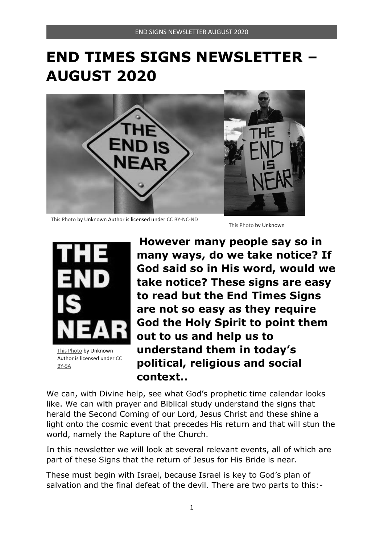# **END TIMES SIGNS NEWSLETTER – AUGUST 2020**



This Photo by Unknown Author is licensed under CC BY-NC-ND This Photo by Unknown



This Photo by Unknown Author is licensed under CC BY-SA

**However many people say so in many ways, do we take notice? If God said so in His word, would we take notice? These signs are easy to read but the End Times Signs are not so easy as they require God the Holy Spirit to point them out to us and help us to understand them in today's political, religious and social context..** 

We can, with Divine help, see what God's prophetic time calendar looks like. We can with prayer and Biblical study understand the signs that herald the Second Coming of our Lord, Jesus Christ and these shine a light onto the cosmic event that precedes His return and that will stun the world, namely the Rapture of the Church.

In this newsletter we will look at several relevant events, all of which are part of these Signs that the return of Jesus for His Bride is near.

These must begin with Israel, because Israel is key to God's plan of salvation and the final defeat of the devil. There are two parts to this:-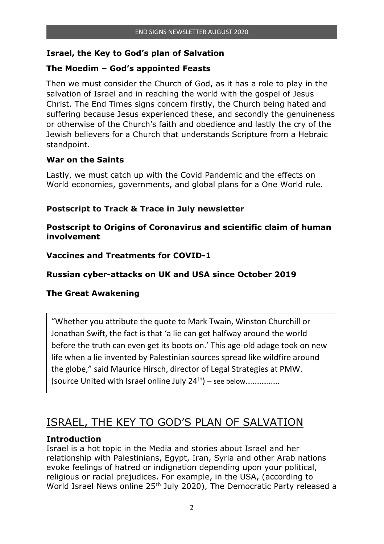#### **Israel, the Key to God's plan of Salvation**

#### **The Moedim – God's appointed Feasts**

Then we must consider the Church of God, as it has a role to play in the salvation of Israel and in reaching the world with the gospel of Jesus Christ. The End Times signs concern firstly, the Church being hated and suffering because Jesus experienced these, and secondly the genuineness or otherwise of the Church's faith and obedience and lastly the cry of the Jewish believers for a Church that understands Scripture from a Hebraic standpoint.

#### **War on the Saints**

Lastly, we must catch up with the Covid Pandemic and the effects on World economies, governments, and global plans for a One World rule.

#### **Postscript to Track & Trace in July newsletter**

**Postscript to Origins of Coronavirus and scientific claim of human involvement** 

#### **Vaccines and Treatments for COVID-1**

**Russian cyber-attacks on UK and USA since October 2019** 

#### **The Great Awakening**

"Whether you attribute the quote to Mark Twain, Winston Churchill or Jonathan Swift, the fact is that 'a lie can get halfway around the world before the truth can even get its boots on.' This age-old adage took on new life when a lie invented by Palestinian sources spread like wildfire around the globe," said Maurice Hirsch, director of Legal Strategies at PMW. (source United with Israel online July  $24^{th}$ ) – see below......................

# ISRAEL, THE KEY TO GOD'S PLAN OF SALVATION

#### **Introduction**

Israel is a hot topic in the Media and stories about Israel and her relationship with Palestinians, Egypt, Iran, Syria and other Arab nations evoke feelings of hatred or indignation depending upon your political, religious or racial prejudices. For example, in the USA, (according to World Israel News online 25<sup>th</sup> July 2020), The Democratic Party released a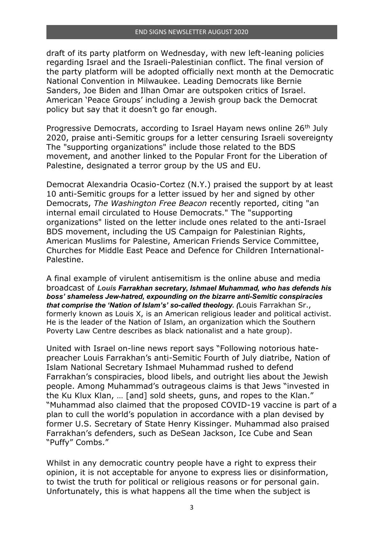draft of its party platform on Wednesday, with new left-leaning policies regarding Israel and the Israeli-Palestinian conflict. The final version of the party platform will be adopted officially next month at the Democratic National Convention in Milwaukee. Leading Democrats like Bernie Sanders, Joe Biden and Ilhan Omar are outspoken critics of Israel. American 'Peace Groups' including a Jewish group back the Democrat policy but say that it doesn't go far enough.

Progressive Democrats, according to Israel Hayam news online 26<sup>th</sup> July 2020, praise anti-Semitic groups for a letter censuring Israeli sovereignty The "supporting organizations" include those related to the BDS movement, and another linked to the Popular Front for the Liberation of Palestine, designated a terror group by the US and EU.

Democrat Alexandria Ocasio-Cortez (N.Y.) praised the support by at least 10 anti-Semitic groups for a letter issued by her and signed by other Democrats, *The Washington Free Beacon* recently reported, citing "an internal email circulated to House Democrats." The "supporting organizations" listed on the letter include ones related to the anti-Israel BDS movement, including the US Campaign for Palestinian Rights, American Muslims for Palestine, American Friends Service Committee, Churches for Middle East Peace and Defence for Children International-Palestine.

A final example of virulent antisemitism is the online abuse and media broadcast of *Louis Farrakhan secretary, Ishmael Muhammad, who has defends his boss' shameless Jew-hatred, expounding on the bizarre anti-Semitic conspiracies that comprise the 'Nation of Islam's' so-called theology. (*Louis Farrakhan Sr., formerly known as Louis X, is an American religious leader and political activist. He is the leader of the Nation of Islam, an organization which the Southern Poverty Law Centre describes as black nationalist and a hate group).

United with Israel on-line news report says "Following notorious hatepreacher Louis Farrakhan's anti-Semitic Fourth of July diatribe, Nation of Islam National Secretary Ishmael Muhammad rushed to defend Farrakhan's conspiracies, blood libels, and outright lies about the Jewish people. Among Muhammad's outrageous claims is that Jews "invested in the Ku Klux Klan, … [and] sold sheets, guns, and ropes to the Klan." "Muhammad also claimed that the proposed COVID-19 vaccine is part of a plan to cull the world's population in accordance with a plan devised by former U.S. Secretary of State Henry Kissinger. Muhammad also praised Farrakhan's defenders, such as DeSean Jackson, Ice Cube and Sean "Puffy" Combs."

Whilst in any democratic country people have a right to express their opinion, it is not acceptable for anyone to express lies or disinformation, to twist the truth for political or religious reasons or for personal gain. Unfortunately, this is what happens all the time when the subject is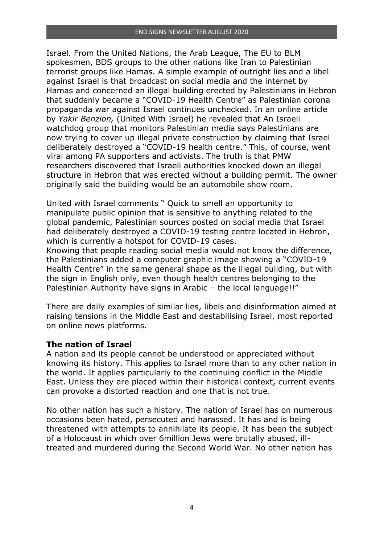Israel. From the United Nations, the Arab League, The EU to BLM spokesmen, BDS groups to the other nations like Iran to Palestinian terrorist groups like Hamas. A simple example of outright lies and a libel against Israel is that broadcast on social media and the internet by Hamas and concerned an illegal building erected by Palestinians in Hebron that suddenly became a "COVID-19 Health Centre" as Palestinian corona propaganda war against Israel continues unchecked. In an online article by *Yakir Benzion,* (United With Israel) he revealed that An Israeli watchdog group that monitors Palestinian media says Palestinians are now trying to cover up illegal private construction by claiming that Israel deliberately destroyed a "COVID-19 health centre." This, of course, went viral among PA supporters and activists. The truth is that PMW researchers discovered that Israeli authorities knocked down an illegal structure in Hebron that was erected without a building permit. The owner originally said the building would be an automobile show room.

United with Israel comments " Quick to smell an opportunity to manipulate public opinion that is sensitive to anything related to the global pandemic, Palestinian sources posted on social media that Israel had deliberately destroyed a COVID-19 testing centre located in Hebron, which is currently a hotspot for COVID-19 cases.

Knowing that people reading social media would not know the difference, the Palestinians added a computer graphic image showing a "COVID-19 Health Centre" in the same general shape as the illegal building, but with the sign in English only, even though health centres belonging to the Palestinian Authority have signs in Arabic – the local language!!"

There are daily examples of similar lies, libels and disinformation aimed at raising tensions in the Middle East and destabilising Israel, most reported on online news platforms.

#### **The nation of Israel**

A nation and its people cannot be understood or appreciated without knowing its history. This applies to Israel more than to any other nation in the world. It applies particularly to the continuing conflict in the Middle East. Unless they are placed within their historical context, current events can provoke a distorted reaction and one that is not true.

No other nation has such a history. The nation of Israel has on numerous occasions been hated, persecuted and harassed. It has and is being threatened with attempts to annihilate its people. It has been the subject of a Holocaust in which over 6million Jews were brutally abused, illtreated and murdered during the Second World War. No other nation has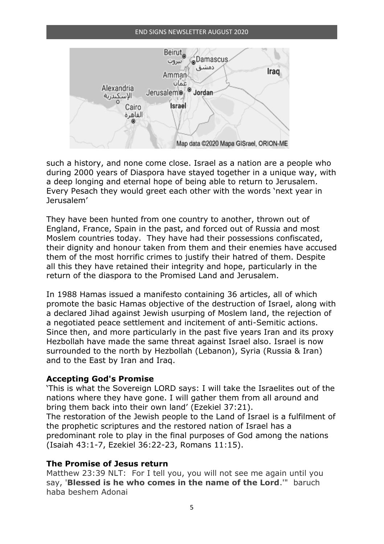#### END SIGNS NEWSLETTER AUGUST 2020



such a history, and none come close. Israel as a nation are a people who during 2000 years of Diaspora have stayed together in a unique way, with a deep longing and eternal hope of being able to return to Jerusalem. Every Pesach they would greet each other with the words 'next year in Jerusalem'

They have been hunted from one country to another, thrown out of England, France, Spain in the past, and forced out of Russia and most Moslem countries today. They have had their possessions confiscated, their dignity and honour taken from them and their enemies have accused them of the most horrific crimes to justify their hatred of them. Despite all this they have retained their integrity and hope, particularly in the return of the diaspora to the Promised Land and Jerusalem.

In 1988 Hamas issued a manifesto containing 36 articles, all of which promote the basic Hamas objective of the destruction of Israel, along with a declared Jihad against Jewish usurping of Moslem land, the rejection of a negotiated peace settlement and incitement of anti-Semitic actions. Since then, and more particularly in the past five years Iran and its proxy Hezbollah have made the same threat against Israel also. Israel is now surrounded to the north by Hezbollah (Lebanon), Syria (Russia & Iran) and to the East by Iran and Iraq.

#### **Accepting God's Promise**

'This is what the Sovereign LORD says: I will take the Israelites out of the nations where they have gone. I will gather them from all around and bring them back into their own land' (Ezekiel 37:21). The restoration of the Jewish people to the Land of Israel is a fulfilment of the prophetic scriptures and the restored nation of Israel has a predominant role to play in the final purposes of God among the nations (Isaiah 43:1-7, Ezekiel 36:22-23, Romans 11:15).

#### **The Promise of Jesus return**

Matthew 23:39 NLT: For I tell you, you will not see me again until you say, '**Blessed is he who comes in the name of the Lord**.'" baruch haba beshem Adonai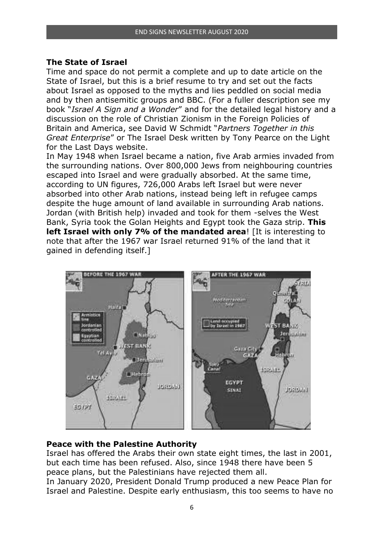#### **The State of Israel**

Time and space do not permit a complete and up to date article on the State of Israel, but this is a brief resume to try and set out the facts about Israel as opposed to the myths and lies peddled on social media and by then antisemitic groups and BBC. (For a fuller description see my book "*Israel A Sign and a Wonder*" and for the detailed legal history and a discussion on the role of Christian Zionism in the Foreign Policies of Britain and America, see David W Schmidt "*Partners Together in this Great Enterprise*" or The Israel Desk written by Tony Pearce on the Light for the Last Days website.

In May 1948 when Israel became a nation, five Arab armies invaded from the surrounding nations. Over 800,000 Jews from neighbouring countries escaped into Israel and were gradually absorbed. At the same time, according to UN figures, 726,000 Arabs left Israel but were never absorbed into other Arab nations, instead being left in refugee camps despite the huge amount of land available in surrounding Arab nations. Jordan (with British help) invaded and took for them -selves the West Bank, Syria took the Golan Heights and Egypt took the Gaza strip. **This left Israel with only 7% of the mandated area**! [It is interesting to note that after the 1967 war Israel returned 91% of the land that it gained in defending itself.]



#### **Peace with the Palestine Authority**

Israel has offered the Arabs their own state eight times, the last in 2001, but each time has been refused. Also, since 1948 there have been 5 peace plans, but the Palestinians have rejected them all.

In January 2020, President Donald Trump produced a new Peace Plan for Israel and Palestine. Despite early enthusiasm, this too seems to have no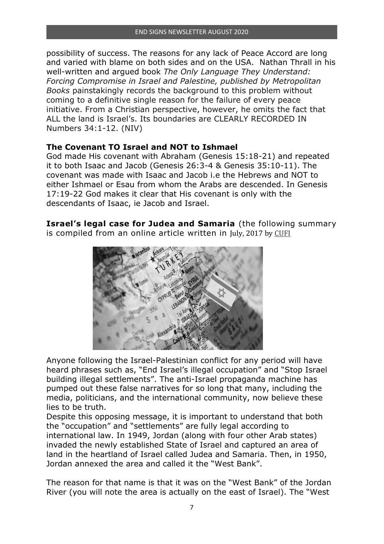possibility of success. The reasons for any lack of Peace Accord are long and varied with blame on both sides and on the USA. Nathan Thrall in his well-written and argued book *The Only Language They Understand: Forcing Compromise in Israel and Palestine, published by Metropolitan Books* painstakingly records the background to this problem without coming to a definitive single reason for the failure of every peace initiative. From a Christian perspective, however, he omits the fact that ALL the land is Israel's. Its boundaries are CLEARLY RECORDED IN Numbers 34:1-12. (NIV)

#### **The Covenant TO Israel and NOT to Ishmael**

God made His covenant with Abraham (Genesis 15:18-21) and repeated it to both Isaac and Jacob (Genesis 26:3-4 & Genesis 35:10-11). The covenant was made with Isaac and Jacob i.e the Hebrews and NOT to either Ishmael or Esau from whom the Arabs are descended. In Genesis 17:19-22 God makes it clear that His covenant is only with the descendants of Isaac, ie Jacob and Israel.

**Israel's legal case for Judea and Samaria** (the following summary is compiled from an online article written in July, 2017 by CUFI



Anyone following the Israel-Palestinian conflict for any period will have heard phrases such as, "End Israel's illegal occupation" and "Stop Israel building illegal settlements". The anti-Israel propaganda machine has pumped out these false narratives for so long that many, including the media, politicians, and the international community, now believe these lies to be truth.

Despite this opposing message, it is important to understand that both the "occupation" and "settlements" are fully legal according to international law. In 1949, Jordan (along with four other Arab states) invaded the newly established State of Israel and captured an area of land in the heartland of Israel called Judea and Samaria. Then, in 1950, Jordan annexed the area and called it the "West Bank".

The reason for that name is that it was on the "West Bank" of the Jordan River (you will note the area is actually on the east of Israel). The "West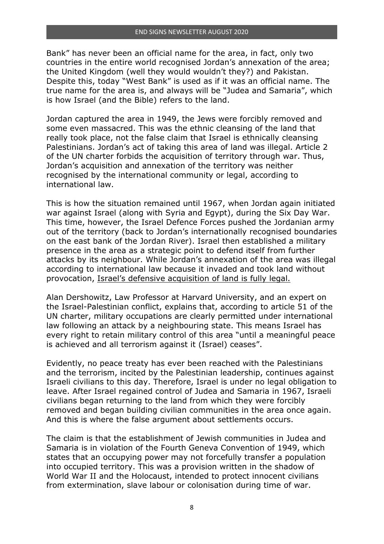Bank" has never been an official name for the area, in fact, only two countries in the entire world recognised Jordan's annexation of the area; the United Kingdom (well they would wouldn't they?) and Pakistan. Despite this, today "West Bank" is used as if it was an official name. The true name for the area is, and always will be "Judea and Samaria", which is how Israel (and the Bible) refers to the land.

Jordan captured the area in 1949, the Jews were forcibly removed and some even massacred. This was the ethnic cleansing of the land that really took place, not the false claim that Israel is ethnically cleansing Palestinians. Jordan's act of taking this area of land was illegal. Article 2 of the UN charter forbids the acquisition of territory through war. Thus, Jordan's acquisition and annexation of the territory was neither recognised by the international community or legal, according to international law.

This is how the situation remained until 1967, when Jordan again initiated war against Israel (along with Syria and Egypt), during the Six Day War. This time, however, the Israel Defence Forces pushed the Jordanian army out of the territory (back to Jordan's internationally recognised boundaries on the east bank of the Jordan River). Israel then established a military presence in the area as a strategic point to defend itself from further attacks by its neighbour. While Jordan's annexation of the area was illegal according to international law because it invaded and took land without provocation, Israel's defensive acquisition of land is fully legal.

Alan Dershowitz, Law Professor at Harvard University, and an expert on the Israel-Palestinian conflict, explains that, according to article 51 of the UN charter, military occupations are clearly permitted under international law following an attack by a neighbouring state. This means Israel has every right to retain military control of this area "until a meaningful peace is achieved and all terrorism against it (Israel) ceases".

Evidently, no peace treaty has ever been reached with the Palestinians and the terrorism, incited by the Palestinian leadership, continues against Israeli civilians to this day. Therefore, Israel is under no legal obligation to leave. After Israel regained control of Judea and Samaria in 1967, Israeli civilians began returning to the land from which they were forcibly removed and began building civilian communities in the area once again. And this is where the false argument about settlements occurs.

The claim is that the establishment of Jewish communities in Judea and Samaria is in violation of the Fourth Geneva Convention of 1949, which states that an occupying power may not forcefully transfer a population into occupied territory. This was a provision written in the shadow of World War II and the Holocaust, intended to protect innocent civilians from extermination, slave labour or colonisation during time of war.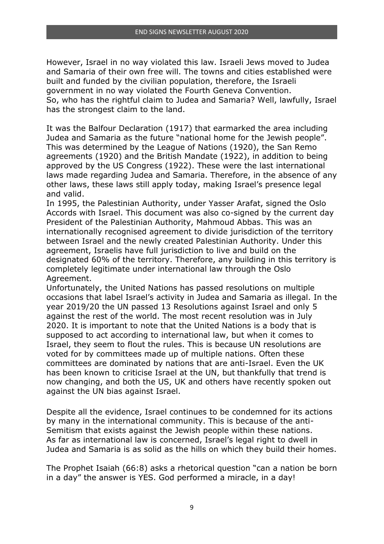However, Israel in no way violated this law. Israeli Jews moved to Judea and Samaria of their own free will. The towns and cities established were built and funded by the civilian population, therefore, the Israeli government in no way violated the Fourth Geneva Convention. So, who has the rightful claim to Judea and Samaria? Well, lawfully, Israel has the strongest claim to the land.

It was the Balfour Declaration (1917) that earmarked the area including Judea and Samaria as the future "national home for the Jewish people". This was determined by the League of Nations (1920), the San Remo agreements (1920) and the British Mandate (1922), in addition to being approved by the US Congress (1922). These were the last international laws made regarding Judea and Samaria. Therefore, in the absence of any other laws, these laws still apply today, making Israel's presence legal and valid.

In 1995, the Palestinian Authority, under Yasser Arafat, signed the Oslo Accords with Israel. This document was also co-signed by the current day President of the Palestinian Authority, Mahmoud Abbas. This was an internationally recognised agreement to divide jurisdiction of the territory between Israel and the newly created Palestinian Authority. Under this agreement, Israelis have full jurisdiction to live and build on the designated 60% of the territory. Therefore, any building in this territory is completely legitimate under international law through the Oslo Agreement.

Unfortunately, the United Nations has passed resolutions on multiple occasions that label Israel's activity in Judea and Samaria as illegal. In the year 2019/20 the UN passed 13 Resolutions against Israel and only 5 against the rest of the world. The most recent resolution was in July 2020. It is important to note that the United Nations is a body that is supposed to act according to international law, but when it comes to Israel, they seem to flout the rules. This is because UN resolutions are voted for by committees made up of multiple nations. Often these committees are dominated by nations that are anti-Israel. Even the UK has been known to criticise Israel at the UN, but thankfully that trend is now changing, and both the US, UK and others have recently spoken out against the UN bias against Israel.

Despite all the evidence, Israel continues to be condemned for its actions by many in the international community. This is because of the anti-Semitism that exists against the Jewish people within these nations. As far as international law is concerned, Israel's legal right to dwell in Judea and Samaria is as solid as the hills on which they build their homes.

The Prophet Isaiah (66:8) asks a rhetorical question "can a nation be born in a day" the answer is YES. God performed a miracle, in a day!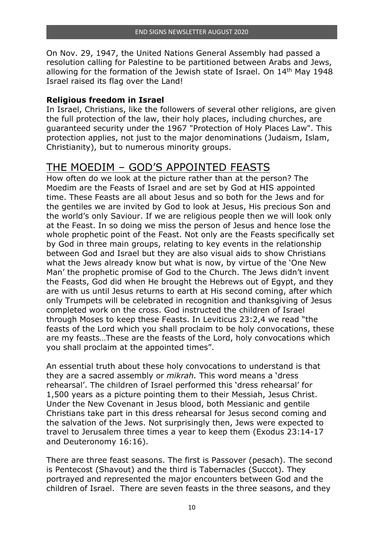On Nov. 29, 1947, the United Nations General Assembly had passed a resolution calling for Palestine to be partitioned between Arabs and Jews, allowing for the formation of the Jewish state of Israel. On 14th May 1948 Israel raised its flag over the Land!

#### **Religious freedom in Israel**

In Israel, Christians, like the followers of several other religions, are given the full protection of the law, their holy places, including churches, are guaranteed security under the 1967 "Protection of Holy Places Law". This protection applies, not just to the major denominations (Judaism, Islam, Christianity), but to numerous minority groups.

### THE MOEDIM – GOD'S APPOINTED FEASTS

How often do we look at the picture rather than at the person? The Moedim are the Feasts of Israel and are set by God at HIS appointed time. These Feasts are all about Jesus and so both for the Jews and for the gentiles we are invited by God to look at Jesus, His precious Son and the world's only Saviour. If we are religious people then we will look only at the Feast. In so doing we miss the person of Jesus and hence lose the whole prophetic point of the Feast. Not only are the Feasts specifically set by God in three main groups, relating to key events in the relationship between God and Israel but they are also visual aids to show Christians what the Jews already know but what is now, by virtue of the 'One New Man' the prophetic promise of God to the Church. The Jews didn't invent the Feasts, God did when He brought the Hebrews out of Egypt, and they are with us until Jesus returns to earth at His second coming, after which only Trumpets will be celebrated in recognition and thanksgiving of Jesus completed work on the cross. God instructed the children of Israel through Moses to keep these Feasts. In Leviticus 23:2,4 we read "the feasts of the Lord which you shall proclaim to be holy convocations, these are my feasts…These are the feasts of the Lord, holy convocations which you shall proclaim at the appointed times".

An essential truth about these holy convocations to understand is that they are a sacred assembly or *mikrah.* This word means a 'dress rehearsal'. The children of Israel performed this 'dress rehearsal' for 1,500 years as a picture pointing them to their Messiah, Jesus Christ. Under the New Covenant in Jesus blood, both Messianic and gentile Christians take part in this dress rehearsal for Jesus second coming and the salvation of the Jews. Not surprisingly then, Jews were expected to travel to Jerusalem three times a year to keep them (Exodus 23:14-17 and Deuteronomy 16:16).

There are three feast seasons. The first is Passover (pesach). The second is Pentecost (Shavout) and the third is Tabernacles (Succot). They portrayed and represented the major encounters between God and the children of Israel. There are seven feasts in the three seasons, and they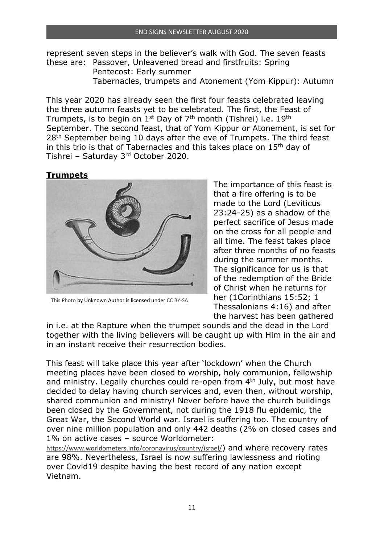represent seven steps in the believer's walk with God. The seven feasts these are: Passover, Unleavened bread and firstfruits: Spring

 Pentecost: Early summer Tabernacles, trumpets and Atonement (Yom Kippur): Autumn

This year 2020 has already seen the first four feasts celebrated leaving the three autumn feasts yet to be celebrated. The first, the Feast of Trumpets, is to begin on  $1^{st}$  Day of  $7^{th}$  month (Tishrei) i.e.  $19^{th}$ September. The second feast, that of Yom Kippur or Atonement, is set for 28<sup>th</sup> September being 10 days after the eve of Trumpets. The third feast in this trio is that of Tabernacles and this takes place on 15th day of Tishrei – Saturday 3rd October 2020.

#### **Trumpets**



This Photo by Unknown Author is licensed under CC BY-SA

The importance of this feast is that a fire offering is to be made to the Lord (Leviticus 23:24-25) as a shadow of the perfect sacrifice of Jesus made on the cross for all people and all time. The feast takes place after three months of no feasts during the summer months. The significance for us is that of the redemption of the Bride of Christ when he returns for her (1Corinthians 15:52; 1 Thessalonians 4:16) and after the harvest has been gathered

in i.e. at the Rapture when the trumpet sounds and the dead in the Lord together with the living believers will be caught up with Him in the air and in an instant receive their resurrection bodies.

This feast will take place this year after 'lockdown' when the Church meeting places have been closed to worship, holy communion, fellowship and ministry. Legally churches could re-open from 4<sup>th</sup> July, but most have decided to delay having church services and, even then, without worship, shared communion and ministry! Never before have the church buildings been closed by the Government, not during the 1918 flu epidemic, the Great War, the Second World war. Israel is suffering too. The country of over nine million population and only 442 deaths (2% on closed cases and 1% on active cases – source Worldometer:

https://www.worldometers.info/coronavirus/country/israel/) and where recovery rates are 98%. Nevertheless, Israel is now suffering lawlessness and rioting over Covid19 despite having the best record of any nation except Vietnam.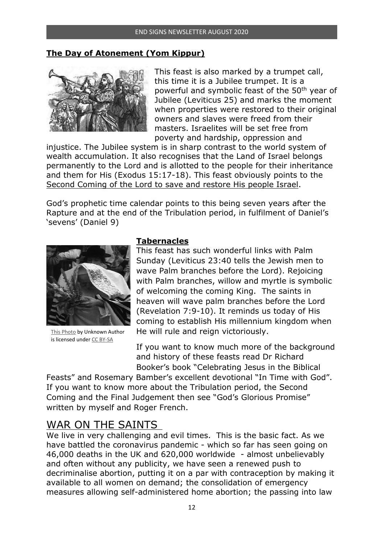#### **The Day of Atonement (Yom Kippur)**



This feast is also marked by a trumpet call, this time it is a Jubilee trumpet. It is a powerful and symbolic feast of the 50th year of Jubilee (Leviticus 25) and marks the moment when properties were restored to their original owners and slaves were freed from their masters. Israelites will be set free from poverty and hardship, oppression and

injustice. The Jubilee system is in sharp contrast to the world system of wealth accumulation. It also recognises that the Land of Israel belongs permanently to the Lord and is allotted to the people for their inheritance and them for His (Exodus 15:17-18). This feast obviously points to the Second Coming of the Lord to save and restore His people Israel.

God's prophetic time calendar points to this being seven years after the Rapture and at the end of the Tribulation period, in fulfilment of Daniel's 'sevens' (Daniel 9)



This Photo by Unknown Author is licensed under CC BY-SA

#### **Tabernacles**

This feast has such wonderful links with Palm Sunday (Leviticus 23:40 tells the Jewish men to wave Palm branches before the Lord). Rejoicing with Palm branches, willow and myrtle is symbolic of welcoming the coming King. The saints in heaven will wave palm branches before the Lord (Revelation 7:9-10). It reminds us today of His coming to establish His millennium kingdom when He will rule and reign victoriously.

If you want to know much more of the background and history of these feasts read Dr Richard Booker's book "Celebrating Jesus in the Biblical

Feasts" and Rosemary Bamber's excellent devotional "In Time with God". If you want to know more about the Tribulation period, the Second Coming and the Final Judgement then see "God's Glorious Promise" written by myself and Roger French.

# WAR ON THE SAINTS

We live in very challenging and evil times. This is the basic fact. As we have battled the coronavirus pandemic - which so far has seen going on 46,000 deaths in the UK and 620,000 worldwide - almost unbelievably and often without any publicity, we have seen a renewed push to decriminalise abortion, putting it on a par with contraception by making it available to all women on demand; the consolidation of emergency measures allowing self-administered home abortion; the passing into law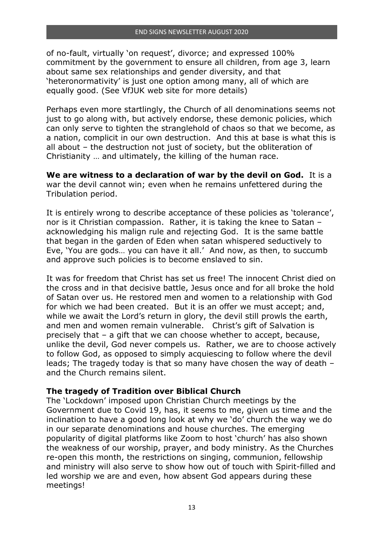of no-fault, virtually 'on request', divorce; and expressed 100% commitment by the government to ensure all children, from age 3, learn about same sex relationships and gender diversity, and that 'heteronormativity' is just one option among many, all of which are equally good. (See VfJUK web site for more details)

Perhaps even more startlingly, the Church of all denominations seems not just to go along with, but actively endorse, these demonic policies, which can only serve to tighten the stranglehold of chaos so that we become, as a nation, complicit in our own destruction. And this at base is what this is all about – the destruction not just of society, but the obliteration of Christianity … and ultimately, the killing of the human race.

**We are witness to a declaration of war by the devil on God.** It is a war the devil cannot win; even when he remains unfettered during the Tribulation period.

It is entirely wrong to describe acceptance of these policies as 'tolerance', nor is it Christian compassion. Rather, it is taking the knee to Satan – acknowledging his malign rule and rejecting God. It is the same battle that began in the garden of Eden when satan whispered seductively to Eve, 'You are gods… you can have it all.' And now, as then, to succumb and approve such policies is to become enslaved to sin.

It was for freedom that Christ has set us free! The innocent Christ died on the cross and in that decisive battle, Jesus once and for all broke the hold of Satan over us. He restored men and women to a relationship with God for which we had been created. But it is an offer we must accept; and, while we await the Lord's return in glory, the devil still prowls the earth, and men and women remain vulnerable. Christ's gift of Salvation is precisely that – a gift that we can choose whether to accept, because, unlike the devil, God never compels us. Rather, we are to choose actively to follow God, as opposed to simply acquiescing to follow where the devil leads; The tragedy today is that so many have chosen the way of death – and the Church remains silent.

#### **The tragedy of Tradition over Biblical Church**

The 'Lockdown' imposed upon Christian Church meetings by the Government due to Covid 19, has, it seems to me, given us time and the inclination to have a good long look at why we 'do' church the way we do in our separate denominations and house churches. The emerging popularity of digital platforms like Zoom to host 'church' has also shown the weakness of our worship, prayer, and body ministry. As the Churches re-open this month, the restrictions on singing, communion, fellowship and ministry will also serve to show how out of touch with Spirit-filled and led worship we are and even, how absent God appears during these meetings!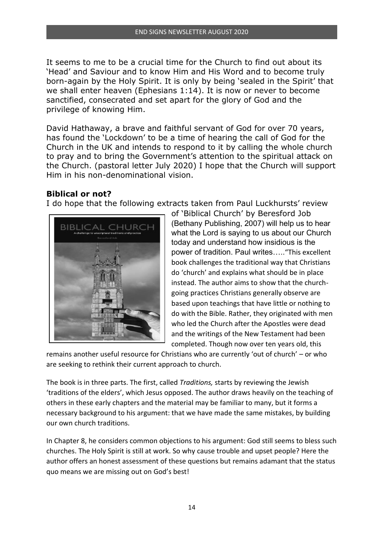It seems to me to be a crucial time for the Church to find out about its 'Head' and Saviour and to know Him and His Word and to become truly born-again by the Holy Spirit. It is only by being 'sealed in the Spirit' that we shall enter heaven (Ephesians 1:14). It is now or never to become sanctified, consecrated and set apart for the glory of God and the privilege of knowing Him.

David Hathaway, a brave and faithful servant of God for over 70 years, has found the 'Lockdown' to be a time of hearing the call of God for the Church in the UK and intends to respond to it by calling the whole church to pray and to bring the Government's attention to the spiritual attack on the Church. (pastoral letter July 2020) I hope that the Church will support Him in his non-denominational vision.

#### **Biblical or not?**

I do hope that the following extracts taken from Paul Luckhursts' review



of 'Biblical Church' by Beresford Job (Bethany Publishing, 2007) will help us to hear what the Lord is saying to us about our Church today and understand how insidious is the power of tradition. Paul writes….."This excellent book challenges the traditional way that Christians do 'church' and explains what should be in place instead. The author aims to show that the churchgoing practices Christians generally observe are based upon teachings that have little or nothing to do with the Bible. Rather, they originated with men who led the Church after the Apostles were dead and the writings of the New Testament had been completed. Though now over ten years old, this

remains another useful resource for Christians who are currently 'out of church' – or who are seeking to rethink their current approach to church.

The book is in three parts. The first, called *Traditions,* starts by reviewing the Jewish 'traditions of the elders', which Jesus opposed. The author draws heavily on the teaching of others in these early chapters and the material may be familiar to many, but it forms a necessary background to his argument: that we have made the same mistakes, by building our own church traditions.

In Chapter 8, he considers common objections to his argument: God still seems to bless such churches. The Holy Spirit is still at work. So why cause trouble and upset people? Here the author offers an honest assessment of these questions but remains adamant that the status quo means we are missing out on God's best!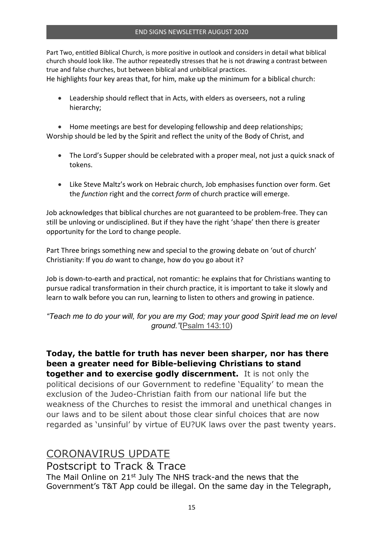Part Two, entitled Biblical Church, is more positive in outlook and considers in detail what biblical church should look like. The author repeatedly stresses that he is not drawing a contrast between true and false churches, but between biblical and unbiblical practices.

He highlights four key areas that, for him, make up the minimum for a biblical church:

• Leadership should reflect that in Acts, with elders as overseers, not a ruling hierarchy;

• Home meetings are best for developing fellowship and deep relationships: Worship should be led by the Spirit and reflect the unity of the Body of Christ, and

- The Lord's Supper should be celebrated with a proper meal, not just a quick snack of tokens.
- Like Steve Maltz's work on Hebraic church, Job emphasises function over form. Get the *function* right and the correct *form* of church practice will emerge.

Job acknowledges that biblical churches are not guaranteed to be problem-free. They can still be unloving or undisciplined. But if they have the right 'shape' then there is greater opportunity for the Lord to change people.

Part Three brings something new and special to the growing debate on 'out of church' Christianity: If you *do* want to change, how do you go about it?

Job is down-to-earth and practical, not romantic: he explains that for Christians wanting to pursue radical transformation in their church practice, it is important to take it slowly and learn to walk before you can run, learning to listen to others and growing in patience.

*"Teach me to do your will, for you are my God; may your good Spirit lead me on level ground."*(Psalm 143:10)

**Today, the battle for truth has never been sharper, nor has there been a greater need for Bible-believing Christians to stand together and to exercise godly discernment.** It is not only the

political decisions of our Government to redefine 'Equality' to mean the exclusion of the Judeo-Christian faith from our national life but the weakness of the Churches to resist the immoral and unethical changes in our laws and to be silent about those clear sinful choices that are now regarded as 'unsinful' by virtue of EU?UK laws over the past twenty years.

### CORONAVIRUS UPDATE

Postscript to Track & Trace The Mail Online on 21<sup>st</sup> July The NHS track-and the news that the Government's T&T App could be illegal. On the same day in the Telegraph,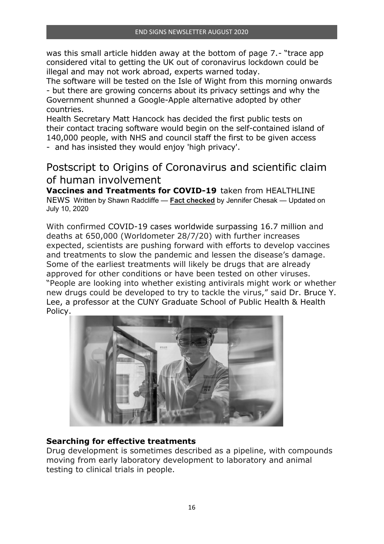was this small article hidden away at the bottom of page 7.- "trace app considered vital to getting the UK out of coronavirus lockdown could be illegal and may not work abroad, experts warned today.

The software will be tested on the Isle of Wight from this morning onwards - but there are growing concerns about its privacy settings and why the Government shunned a Google-Apple alternative adopted by other countries.

Health Secretary Matt Hancock has decided the first public tests on their contact tracing software would begin on the self-contained island of 140,000 people, with NHS and council staff the first to be given access - and has insisted they would enjoy 'high privacy'.

Postscript to Origins of Coronavirus and scientific claim of human involvement

**Vaccines and Treatments for COVID-19** taken from HEALTHLINE NEWS Written by Shawn Radcliffe — **Fact checked** by Jennifer Chesak — Updated on July 10, 2020

With confirmed COVID-19 cases worldwide surpassing 16.7 million and deaths at 650,000 (Worldometer 28/7/20) with further increases expected, scientists are pushing forward with efforts to develop vaccines and treatments to slow the pandemic and lessen the disease's damage. Some of the earliest treatments will likely be drugs that are already approved for other conditions or have been tested on other viruses. "People are looking into whether existing antivirals might work or whether new drugs could be developed to try to tackle the virus," said Dr. Bruce Y. Lee, a professor at the CUNY Graduate School of Public Health & Health Policy.



#### **Searching for effective treatments**

Drug development is sometimes described as a pipeline, with compounds moving from early laboratory development to laboratory and animal testing to clinical trials in people.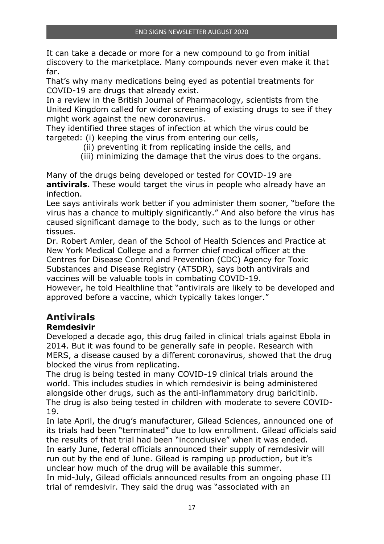It can take a decade or more for a new compound to go from initial discovery to the marketplace. Many compounds never even make it that far.

That's why many medications being eyed as potential treatments for COVID-19 are drugs that already exist.

In a review in the British Journal of Pharmacology, scientists from the United Kingdom called for wider screening of existing drugs to see if they might work against the new coronavirus.

They identified three stages of infection at which the virus could be targeted: (i) keeping the virus from entering our cells,

- (ii) preventing it from replicating inside the cells, and
- (iii) minimizing the damage that the virus does to the organs.

Many of the drugs being developed or tested for COVID-19 are **antivirals.** These would target the virus in people who already have an infection.

Lee says antivirals work better if you administer them sooner, "before the virus has a chance to multiply significantly." And also before the virus has caused significant damage to the body, such as to the lungs or other tissues.

Dr. Robert Amler, dean of the School of Health Sciences and Practice at New York Medical College and a former chief medical officer at the Centres for Disease Control and Prevention (CDC) Agency for Toxic Substances and Disease Registry (ATSDR), says both antivirals and vaccines will be valuable tools in combating COVID-19.

However, he told Healthline that "antivirals are likely to be developed and approved before a vaccine, which typically takes longer."

# **Antivirals**

### **Remdesivir**

Developed a decade ago, this drug failed in clinical trials against Ebola in 2014. But it was found to be generally safe in people. Research with MERS, a disease caused by a different coronavirus, showed that the drug blocked the virus from replicating.

The drug is being tested in many COVID-19 clinical trials around the world. This includes studies in which remdesivir is being administered alongside other drugs, such as the anti-inflammatory drug baricitinib. The drug is also being tested in children with moderate to severe COVID-19.

In late April, the drug's manufacturer, Gilead Sciences, announced one of its trials had been "terminated" due to low enrollment. Gilead officials said the results of that trial had been "inconclusive" when it was ended. In early June, federal officials announced their supply of remdesivir will run out by the end of June. Gilead is ramping up production, but it's unclear how much of the drug will be available this summer.

In mid-July, Gilead officials announced results from an ongoing phase III trial of remdesivir. They said the drug was "associated with an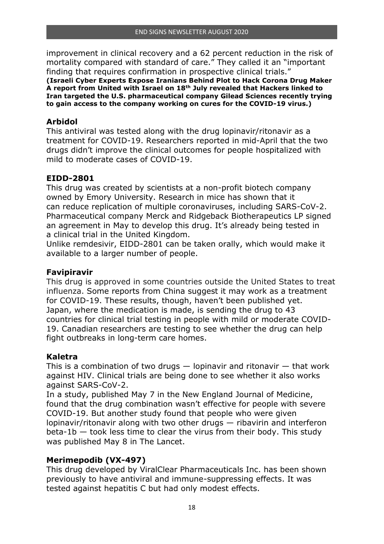improvement in clinical recovery and a 62 percent reduction in the risk of mortality compared with standard of care." They called it an "important finding that requires confirmation in prospective clinical trials."

**(Israeli Cyber Experts Expose Iranians Behind Plot to Hack Corona Drug Maker A report from United with Israel on 18th July revealed that Hackers linked to Iran targeted the U.S. pharmaceutical company Gilead Sciences recently trying to gain access to the company working on cures for the COVID-19 virus.)** 

#### **Arbidol**

This antiviral was tested along with the drug lopinavir/ritonavir as a treatment for COVID-19. Researchers reported in mid-April that the two drugs didn't improve the clinical outcomes for people hospitalized with mild to moderate cases of COVID-19.

#### **EIDD-2801**

This drug was created by scientists at a non-profit biotech company owned by Emory University. Research in mice has shown that it can reduce replication of multiple coronaviruses, including SARS-CoV-2. Pharmaceutical company Merck and Ridgeback Biotherapeutics LP signed an agreement in May to develop this drug. It's already being tested in a clinical trial in the United Kingdom.

Unlike remdesivir, EIDD-2801 can be taken orally, which would make it available to a larger number of people.

#### **Favipiravir**

This drug is approved in some countries outside the United States to treat influenza. Some reports from China suggest it may work as a treatment for COVID-19. These results, though, haven't been published yet. Japan, where the medication is made, is sending the drug to 43 countries for clinical trial testing in people with mild or moderate COVID-19. Canadian researchers are testing to see whether the drug can help fight outbreaks in long-term care homes.

#### **Kaletra**

This is a combination of two drugs  $-$  lopinavir and ritonavir  $-$  that work against HIV. Clinical trials are being done to see whether it also works against SARS-CoV-2.

In a study, published May 7 in the New England Journal of Medicine, found that the drug combination wasn't effective for people with severe COVID-19. But another study found that people who were given lopinavir/ritonavir along with two other drugs — ribavirin and interferon beta-1b — took less time to clear the virus from their body. This study was published May 8 in The Lancet.

#### **Merimepodib (VX-497)**

This drug developed by ViralClear Pharmaceuticals Inc. has been shown previously to have antiviral and immune-suppressing effects. It was tested against hepatitis C but had only modest effects.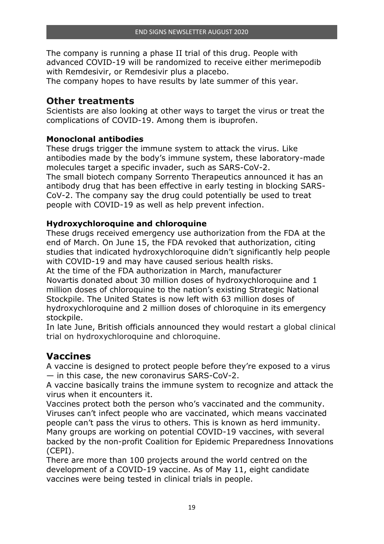The company is running a phase II trial of this drug. People with advanced COVID-19 will be randomized to receive either merimepodib with Remdesivir, or Remdesivir plus a placebo.

The company hopes to have results by late summer of this year.

### **Other treatments**

Scientists are also looking at other ways to target the virus or treat the complications of COVID-19. Among them is ibuprofen.

#### **Monoclonal antibodies**

These drugs trigger the immune system to attack the virus. Like antibodies made by the body's immune system, these laboratory-made molecules target a specific invader, such as SARS-CoV-2. The small biotech company Sorrento Therapeutics announced it has an antibody drug that has been effective in early testing in blocking SARS-CoV-2. The company say the drug could potentially be used to treat people with COVID-19 as well as help prevent infection.

#### **Hydroxychloroquine and chloroquine**

These drugs received emergency use authorization from the FDA at the end of March. On June 15, the FDA revoked that authorization, citing studies that indicated hydroxychloroquine didn't significantly help people with COVID-19 and may have caused serious health risks.

At the time of the FDA authorization in March, manufacturer Novartis donated about 30 million doses of hydroxychloroquine and 1 million doses of chloroquine to the nation's existing Strategic National Stockpile. The United States is now left with 63 million doses of hydroxychloroquine and 2 million doses of chloroquine in its emergency stockpile.

In late June, British officials announced they would restart a global clinical trial on hydroxychloroquine and chloroquine.

# **Vaccines**

A vaccine is designed to protect people before they're exposed to a virus — in this case, the new coronavirus SARS-CoV-2.

A vaccine basically trains the immune system to recognize and attack the virus when it encounters it.

Vaccines protect both the person who's vaccinated and the community. Viruses can't infect people who are vaccinated, which means vaccinated people can't pass the virus to others. This is known as herd immunity. Many groups are working on potential COVID-19 vaccines, with several backed by the non-profit Coalition for Epidemic Preparedness Innovations (CEPI).

There are more than 100 projects around the world centred on the development of a COVID-19 vaccine. As of May 11, eight candidate vaccines were being tested in clinical trials in people.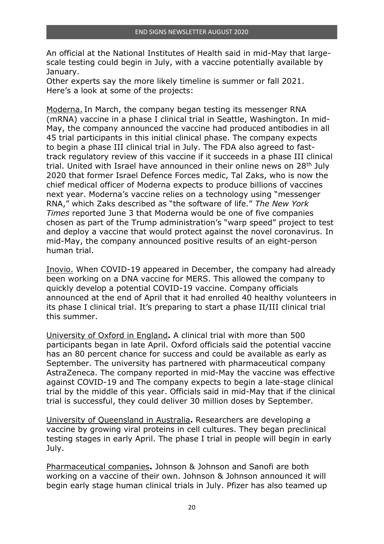An official at the National Institutes of Health said in mid-May that largescale testing could begin in July, with a vaccine potentially available by January.

Other experts say the more likely timeline is summer or fall 2021. Here's a look at some of the projects:

Moderna. In March, the company began testing its messenger RNA (mRNA) vaccine in a phase I clinical trial in Seattle, Washington. In mid-May, the company announced the vaccine had produced antibodies in all 45 trial participants in this initial clinical phase. The company expects to begin a phase III clinical trial in July. The FDA also agreed to fasttrack regulatory review of this vaccine if it succeeds in a phase III clinical trial. United with Israel have announced in their online news on 28<sup>th</sup> July 2020 that former Israel Defence Forces medic, Tal Zaks, who is now the chief medical officer of Moderna expects to produce billions of vaccines next year. Moderna's vaccine relies on a technology using "messenger RNA," which Zaks described as "the software of life." *The New York Times* reported June 3 that Moderna would be one of five companies chosen as part of the Trump administration's "warp speed" project to test and deploy a vaccine that would protect against the novel coronavirus. In mid-May, the company announced positive results of an eight-person human trial.

Inovio. When COVID-19 appeared in December, the company had already been working on a DNA vaccine for MERS. This allowed the company to quickly develop a potential COVID-19 vaccine. Company officials announced at the end of April that it had enrolled 40 healthy volunteers in its phase I clinical trial. It's preparing to start a phase II/III clinical trial this summer.

University of Oxford in England**.** A clinical trial with more than 500 participants began in late April. Oxford officials said the potential vaccine has an 80 percent chance for success and could be available as early as September. The university has partnered with pharmaceutical company AstraZeneca. The company reported in mid-May the vaccine was effective against COVID-19 and The company expects to begin a late-stage clinical trial by the middle of this year. Officials said in mid-May that if the clinical trial is successful, they could deliver 30 million doses by September.

University of Queensland in Australia**.** Researchers are developing a vaccine by growing viral proteins in cell cultures. They began preclinical testing stages in early April. The phase I trial in people will begin in early July.

Pharmaceutical companies**.** Johnson & Johnson and Sanofi are both working on a vaccine of their own. Johnson & Johnson announced it will begin early stage human clinical trials in July. Pfizer has also teamed up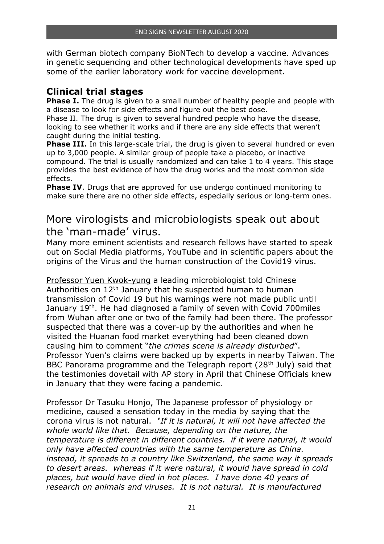with German biotech company BioNTech to develop a vaccine. Advances in genetic sequencing and other technological developments have sped up some of the earlier laboratory work for vaccine development.

### **Clinical trial stages**

**Phase I.** The drug is given to a small number of healthy people and people with a disease to look for side effects and figure out the best dose.

Phase II. The drug is given to several hundred people who have the disease, looking to see whether it works and if there are any side effects that weren't caught during the initial testing.

**Phase III.** In this large-scale trial, the drug is given to several hundred or even up to 3,000 people. A similar group of people take a placebo, or inactive compound. The trial is usually randomized and can take 1 to 4 years. This stage provides the best evidence of how the drug works and the most common side effects.

**Phase IV.** Drugs that are approved for use undergo continued monitoring to make sure there are no other side effects, especially serious or long-term ones.

# More virologists and microbiologists speak out about the 'man-made' virus.

Many more eminent scientists and research fellows have started to speak out on Social Media platforms, YouTube and in scientific papers about the origins of the Virus and the human construction of the Covid19 virus.

Professor Yuen Kwok-yung a leading microbiologist told Chinese Authorities on  $12<sup>th</sup>$  January that he suspected human to human transmission of Covid 19 but his warnings were not made public until January 19<sup>th</sup>. He had diagnosed a family of seven with Covid 700miles from Wuhan after one or two of the family had been there. The professor suspected that there was a cover-up by the authorities and when he visited the Huanan food market everything had been cleaned down causing him to comment "*the crimes scene is already disturbed*". Professor Yuen's claims were backed up by experts in nearby Taiwan. The BBC Panorama programme and the Telegraph report  $(28<sup>th</sup>$  July) said that the testimonies dovetail with AP story in April that Chinese Officials knew in January that they were facing a pandemic.

Professor Dr Tasuku Honjo, The Japanese professor of physiology or medicine, caused a sensation today in the media by saying that the corona virus is not natural. *"If it is natural, it will not have affected the whole world like that. Because, depending on the nature, the temperature is different in different countries. if it were natural, it would only have affected countries with the same temperature as China. instead, it spreads to a country like Switzerland, the same way it spreads to desert areas. whereas if it were natural, it would have spread in cold places, but would have died in hot places. I have done 40 years of research on animals and viruses. It is not natural. It is manufactured*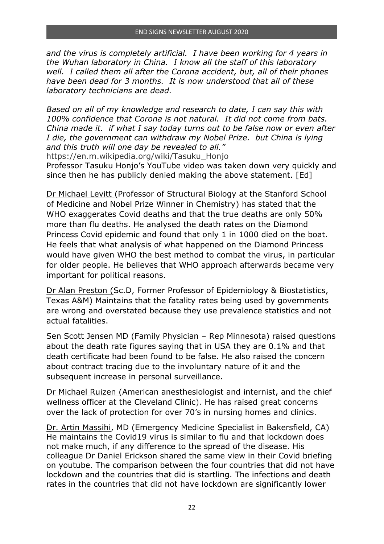*and the virus is completely artificial. I have been working for 4 years in the Wuhan laboratory in China. I know all the staff of this laboratory well. I called them all after the Corona accident, but, all of their phones have been dead for 3 months. It is now understood that all of these laboratory technicians are dead.* 

*Based on all of my knowledge and research to date, I can say this with 100% confidence that Corona is not natural. It did not come from bats. China made it. if what I say today turns out to be false now or even after I die, the government can withdraw my Nobel Prize. but China is lying and this truth will one day be revealed to all."* 

https://en.m.wikipedia.org/wiki/Tasuku\_Honjo

Professor Tasuku Honjo's YouTube video was taken down very quickly and since then he has publicly denied making the above statement. [Ed]

Dr Michael Levitt (Professor of Structural Biology at the Stanford School of Medicine and Nobel Prize Winner in Chemistry) has stated that the WHO exaggerates Covid deaths and that the true deaths are only 50% more than flu deaths. He analysed the death rates on the Diamond Princess Covid epidemic and found that only 1 in 1000 died on the boat. He feels that what analysis of what happened on the Diamond Princess would have given WHO the best method to combat the virus, in particular for older people. He believes that WHO approach afterwards became very important for political reasons.

Dr Alan Preston (Sc.D, Former Professor of Epidemiology & Biostatistics, Texas A&M) Maintains that the fatality rates being used by governments are wrong and overstated because they use prevalence statistics and not actual fatalities.

Sen Scott Jensen MD (Family Physician – Rep Minnesota) raised questions about the death rate figures saying that in USA they are 0.1% and that death certificate had been found to be false. He also raised the concern about contract tracing due to the involuntary nature of it and the subsequent increase in personal surveillance.

Dr Michael Ruizen (American anesthesiologist and internist, and the chief wellness officer at the Cleveland Clinic). He has raised great concerns over the lack of protection for over 70's in nursing homes and clinics.

Dr. Artin Massihi, MD (Emergency Medicine Specialist in Bakersfield, CA) He maintains the Covid19 virus is similar to flu and that lockdown does not make much, if any difference to the spread of the disease. His colleague Dr Daniel Erickson shared the same view in their Covid briefing on youtube. The comparison between the four countries that did not have lockdown and the countries that did is startling. The infections and death rates in the countries that did not have lockdown are significantly lower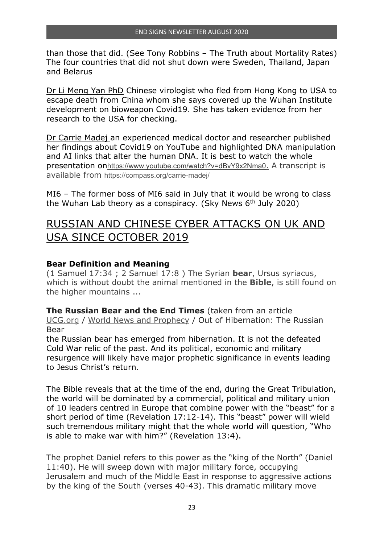than those that did. (See Tony Robbins – The Truth about Mortality Rates) The four countries that did not shut down were Sweden, Thailand, Japan and Belarus

Dr Li Meng Yan PhD Chinese virologist who fled from Hong Kong to USA to escape death from China whom she says covered up the Wuhan Institute development on bioweapon Covid19. She has taken evidence from her research to the USA for checking.

Dr Carrie Madej an experienced medical doctor and researcher published her findings about Covid19 on YouTube and highlighted DNA manipulation and AI links that alter the human DNA. It is best to watch the whole presentation onhttps://www.youtube.com/watch?v=dBvY9x2Nma0. A transcript is available from https://compass.org/carrie-madej/

MI6 – The former boss of MI6 said in July that it would be wrong to class the Wuhan Lab theory as a conspiracy. (Sky News 6<sup>th</sup> July 2020)

# RUSSIAN AND CHINESE CYBER ATTACKS ON UK AND USA SINCE OCTOBER 2019

#### **Bear Definition and Meaning**

(1 Samuel 17:34 ; 2 Samuel 17:8 ) The Syrian **bear**, Ursus syriacus, which is without doubt the animal mentioned in the **Bible**, is still found on the higher mountains ...

**The Russian Bear and the End Times** (taken from an article UCG.org / World News and Prophecy / Out of Hibernation: The Russian Bear

the Russian bear has emerged from hibernation. It is not the defeated Cold War relic of the past. And its political, economic and military resurgence will likely have major prophetic significance in events leading to Jesus Christ's return.

The Bible reveals that at the time of the end, during the Great Tribulation, the world will be dominated by a commercial, political and military union of 10 leaders centred in Europe that combine power with the "beast" for a short period of time (Revelation 17:12-14). This "beast" power will wield such tremendous military might that the whole world will question, "Who is able to make war with him?" (Revelation 13:4).

The prophet Daniel refers to this power as the "king of the North" (Daniel 11:40). He will sweep down with major military force, occupying Jerusalem and much of the Middle East in response to aggressive actions by the king of the South (verses 40-43). This dramatic military move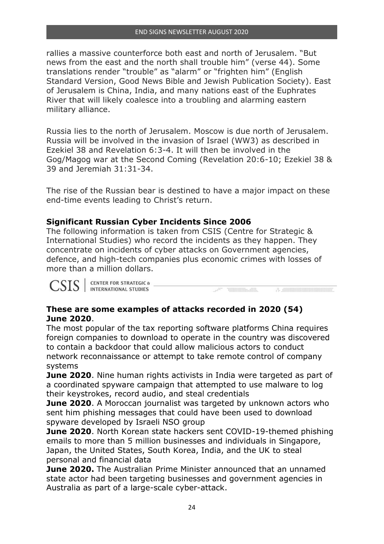rallies a massive counterforce both east and north of Jerusalem. "But news from the east and the north shall trouble him" (verse 44). Some translations render "trouble" as "alarm" or "frighten him" (English Standard Version, Good News Bible and Jewish Publication Society). East of Jerusalem is China, India, and many nations east of the Euphrates River that will likely coalesce into a troubling and alarming eastern military alliance.

Russia lies to the north of Jerusalem. Moscow is due north of Jerusalem. Russia will be involved in the invasion of Israel (WW3) as described in Ezekiel 38 and Revelation 6:3-4. It will then be involved in the Gog/Magog war at the Second Coming (Revelation 20:6-10; Ezekiel 38 & 39 and Jeremiah 31:31-34.

The rise of the Russian bear is destined to have a major impact on these end-time events leading to Christ's return.

#### **Significant Russian Cyber Incidents Since 2006**

The following information is taken from CSIS (Centre for Strategic & International Studies) who record the incidents as they happen. They concentrate on incidents of cyber attacks on Government agencies, defence, and high-tech companies plus economic crimes with losses of more than a million dollars.

**Common Property Common Property** 

 $\mathcal{A} = \left\{ \begin{array}{ll} 0 & \text{if} & \text{if} & \text{if} \\ 0 & \text{if} & \text{if} & \text{if} \\ 0 & \text{if} & \text{if} & \text{if} \end{array} \right. \right.$ 

CSIS ENTER FOR STRATEGIC &

#### **These are some examples of attacks recorded in 2020 (54) June 2020**.

The most popular of the tax reporting software platforms China requires foreign companies to download to operate in the country was discovered to contain a backdoor that could allow malicious actors to conduct network reconnaissance or attempt to take remote control of company systems

**June 2020**. Nine human rights activists in India were targeted as part of a coordinated spyware campaign that attempted to use malware to log their keystrokes, record audio, and steal credentials

**June 2020**. A Moroccan journalist was targeted by unknown actors who sent him phishing messages that could have been used to download spyware developed by Israeli NSO group

**June 2020**. North Korean state hackers sent COVID-19-themed phishing emails to more than 5 million businesses and individuals in Singapore, Japan, the United States, South Korea, India, and the UK to steal personal and financial data

**June 2020.** The Australian Prime Minister announced that an unnamed state actor had been targeting businesses and government agencies in Australia as part of a large-scale cyber-attack.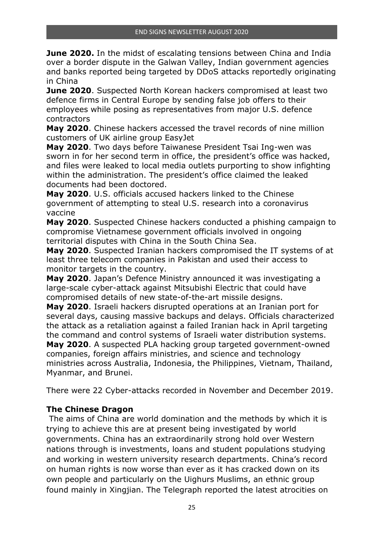**June 2020.** In the midst of escalating tensions between China and India over a border dispute in the Galwan Valley, Indian government agencies and banks reported being targeted by DDoS attacks reportedly originating in China

**June 2020**. Suspected North Korean hackers compromised at least two defence firms in Central Europe by sending false job offers to their employees while posing as representatives from major U.S. defence contractors

**May 2020**. Chinese hackers accessed the travel records of nine million customers of UK airline group EasyJet

**May 2020**. Two days before Taiwanese President Tsai Ing-wen was sworn in for her second term in office, the president's office was hacked, and files were leaked to local media outlets purporting to show infighting within the administration. The president's office claimed the leaked documents had been doctored.

**May 2020**. U.S. officials accused hackers linked to the Chinese government of attempting to steal U.S. research into a coronavirus vaccine

**May 2020**. Suspected Chinese hackers conducted a phishing campaign to compromise Vietnamese government officials involved in ongoing territorial disputes with China in the South China Sea.

**May 2020**. Suspected Iranian hackers compromised the IT systems of at least three telecom companies in Pakistan and used their access to monitor targets in the country.

**May 2020**. Japan's Defence Ministry announced it was investigating a large-scale cyber-attack against Mitsubishi Electric that could have compromised details of new state-of-the-art missile designs.

**May 2020**. Israeli hackers disrupted operations at an Iranian port for several days, causing massive backups and delays. Officials characterized the attack as a retaliation against a failed Iranian hack in April targeting the command and control systems of Israeli water distribution systems.

**May 2020**. A suspected PLA hacking group targeted government-owned companies, foreign affairs ministries, and science and technology ministries across Australia, Indonesia, the Philippines, Vietnam, Thailand, Myanmar, and Brunei.

There were 22 Cyber-attacks recorded in November and December 2019.

#### **The Chinese Dragon**

 The aims of China are world domination and the methods by which it is trying to achieve this are at present being investigated by world governments. China has an extraordinarily strong hold over Western nations through is investments, loans and student populations studying and working in western university research departments. China's record on human rights is now worse than ever as it has cracked down on its own people and particularly on the Uighurs Muslims, an ethnic group found mainly in Xingjian. The Telegraph reported the latest atrocities on